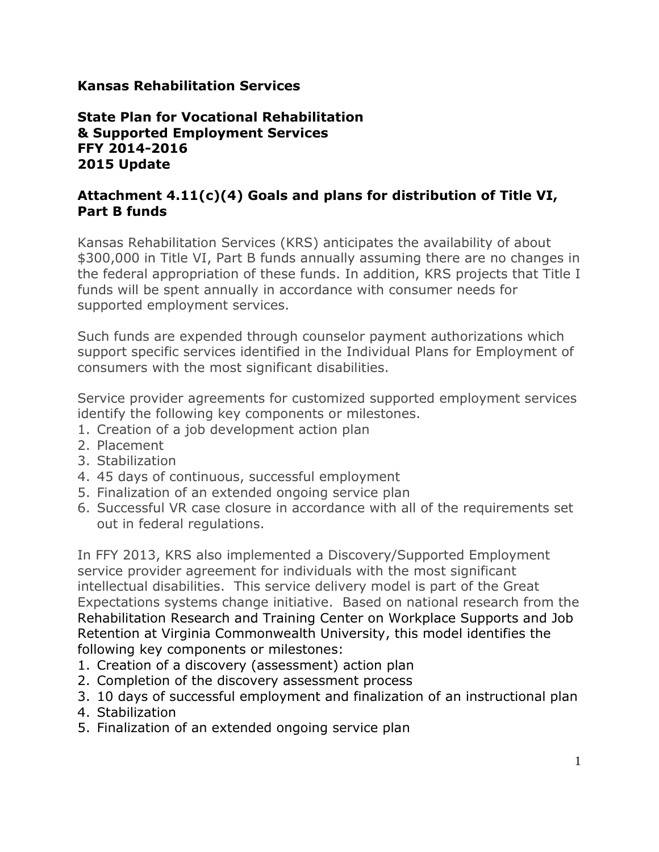### **Kansas Rehabilitation Services**

### **State Plan for Vocational Rehabilitation & Supported Employment Services FFY 2014-2016 2015 Update**

## **Attachment 4.11(c)(4) Goals and plans for distribution of Title VI, Part B funds**

Kansas Rehabilitation Services (KRS) anticipates the availability of about \$300,000 in Title VI, Part B funds annually assuming there are no changes in the federal appropriation of these funds. In addition, KRS projects that Title I funds will be spent annually in accordance with consumer needs for supported employment services.

Such funds are expended through counselor payment authorizations which support specific services identified in the Individual Plans for Employment of consumers with the most significant disabilities.

Service provider agreements for customized supported employment services identify the following key components or milestones.

- 1. Creation of a job development action plan
- 2. Placement
- 3. Stabilization
- 4. 45 days of continuous, successful employment
- 5. Finalization of an extended ongoing service plan
- 6. Successful VR case closure in accordance with all of the requirements set out in federal regulations.

In FFY 2013, KRS also implemented a Discovery/Supported Employment service provider agreement for individuals with the most significant intellectual disabilities. This service delivery model is part of the Great Expectations systems change initiative. Based on national research from the Rehabilitation Research and Training Center on Workplace Supports and Job Retention at Virginia Commonwealth University, this model identifies the following key components or milestones:

- 1. Creation of a discovery (assessment) action plan
- 2. Completion of the discovery assessment process
- 3. 10 days of successful employment and finalization of an instructional plan
- 4. Stabilization
- 5. Finalization of an extended ongoing service plan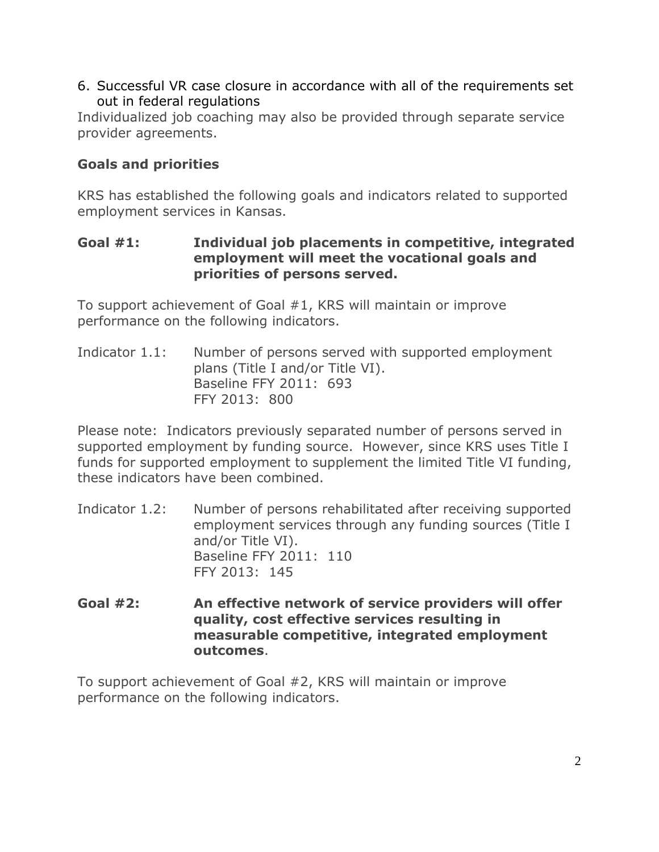6. Successful VR case closure in accordance with all of the requirements set out in federal regulations

Individualized job coaching may also be provided through separate service provider agreements.

# **Goals and priorities**

KRS has established the following goals and indicators related to supported employment services in Kansas.

### **Goal #1: Individual job placements in competitive, integrated employment will meet the vocational goals and priorities of persons served.**

To support achievement of Goal #1, KRS will maintain or improve performance on the following indicators.

Indicator 1.1: Number of persons served with supported employment plans (Title I and/or Title VI). Baseline FFY 2011: 693 FFY 2013: 800

Please note: Indicators previously separated number of persons served in supported employment by funding source. However, since KRS uses Title I funds for supported employment to supplement the limited Title VI funding, these indicators have been combined.

- Indicator 1.2: Number of persons rehabilitated after receiving supported employment services through any funding sources (Title I and/or Title VI). Baseline FFY 2011: 110 FFY 2013: 145
- **Goal #2: An effective network of service providers will offer quality, cost effective services resulting in measurable competitive, integrated employment outcomes**.

To support achievement of Goal #2, KRS will maintain or improve performance on the following indicators.